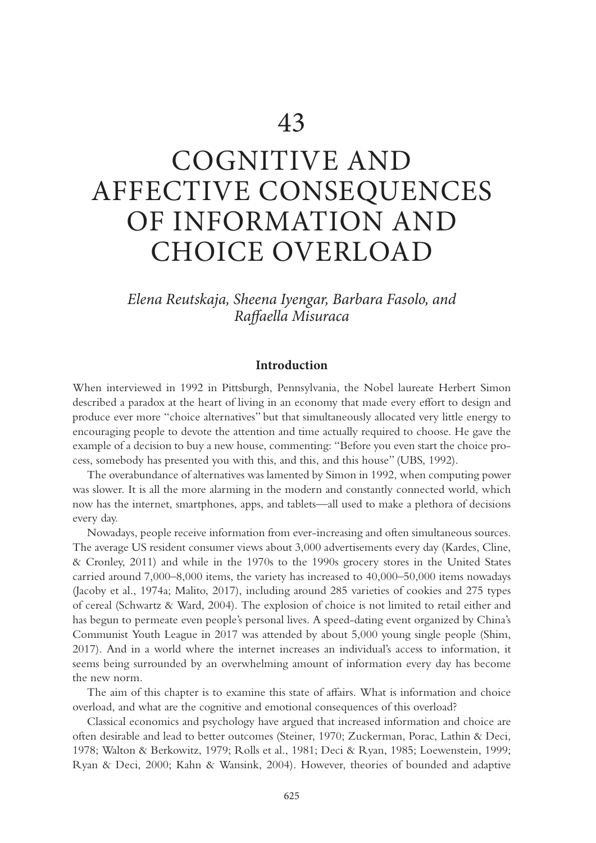# COGNITIVE AND AFFECTIVE CONSEQUENCES OF INFORMATION AND CHOICE OVERLOAD

*Elena Reutskaja, Sheena Iyengar, Barbara Fasolo, and Raffaella Misuraca*

# **Introduction**

When interviewed in 1992 in Pittsburgh, Pennsylvania, the Nobel laureate Herbert Simon described a paradox at the heart of living in an economy that made every effort to design and produce ever more "choice alternatives" but that simultaneously allocated very little energy to encouraging people to devote the attention and time actually required to choose. He gave the example of a decision to buy a new house, commenting: "Before you even start the choice process, somebody has presented you with this, and this, and this house" (UBS, 1992).

The overabundance of alternatives was lamented by Simon in 1992, when computing power was slower. It is all the more alarming in the modern and constantly connected world, which now has the internet, smartphones, apps, and tablets—all used to make a plethora of decisions every day.

Nowadays, people receive information from ever-increasing and often simultaneous sources. The average US resident consumer views about 3,000 advertisements every day (Kardes, Cline, & Cronley, 2011) and while in the 1970s to the 1990s grocery stores in the United States carried around 7,000–8,000 items, the variety has increased to 40,000–50,000 items nowadays (Jacoby et al., 1974a; Malito, 2017), including around 285 varieties of cookies and 275 types of cereal (Schwartz & Ward, 2004). The explosion of choice is not limited to retail either and has begun to permeate even people's personal lives. A speed-dating event organized by China's Communist Youth League in 2017 was attended by about 5,000 young single people (Shim, 2017). And in a world where the internet increases an individual's access to information, it seems being surrounded by an overwhelming amount of information every day has become the new norm.

The aim of this chapter is to examine this state of affairs. What is information and choice overload, and what are the cognitive and emotional consequences of this overload?

Classical economics and psychology have argued that increased information and choice are often desirable and lead to better outcomes (Steiner, 1970; Zuckerman, Porac, Lathin & Deci, 1978; Walton & Berkowitz, 1979; Rolls et al., 1981; Deci & Ryan, 1985; Loewenstein, 1999; Ryan & Deci, 2000; Kahn & Wansink, 2004). However, theories of bounded and adaptive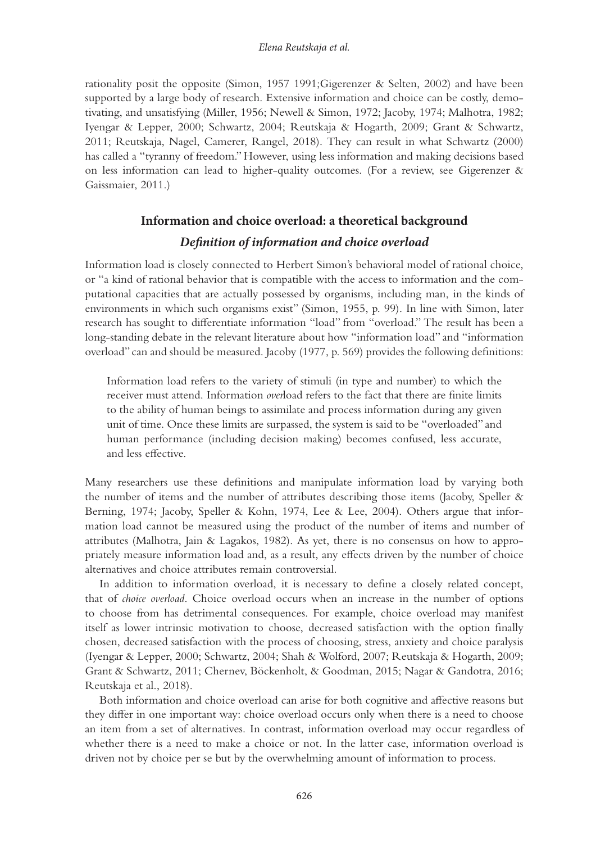### *Elena Reutskaja et al.*

rationality posit the opposite (Simon, 1957 1991;Gigerenzer & Selten, 2002) and have been supported by a large body of research. Extensive information and choice can be costly, demotivating, and unsatisfying (Miller, 1956; Newell & Simon, 1972; Jacoby, 1974; Malhotra, 1982; Iyengar & Lepper, 2000; Schwartz, 2004; Reutskaja & Hogarth, 2009; Grant & Schwartz, 2011; Reutskaja, Nagel, Camerer, Rangel, 2018). They can result in what Schwartz (2000) has called a "tyranny of freedom." However, using less information and making decisions based on less information can lead to higher-quality outcomes. (For a review, see Gigerenzer & Gaissmaier, 2011.)

# **Information and choice overload: a theoretical background**

# *Definition of information and choice overload*

Information load is closely connected to Herbert Simon's behavioral model of rational choice, or "a kind of rational behavior that is compatible with the access to information and the computational capacities that are actually possessed by organisms, including man, in the kinds of environments in which such organisms exist" (Simon, 1955, p. 99). In line with Simon, later research has sought to differentiate information "load" from "overload." The result has been a long-standing debate in the relevant literature about how "information load" and "information overload" can and should be measured. Jacoby (1977, p. 569) provides the following definitions:

Information load refers to the variety of stimuli (in type and number) to which the receiver must attend. Information *over*load refers to the fact that there are finite limits to the ability of human beings to assimilate and process information during any given unit of time. Once these limits are surpassed, the system is said to be "overloaded" and human performance (including decision making) becomes confused, less accurate, and less effective.

Many researchers use these definitions and manipulate information load by varying both the number of items and the number of attributes describing those items (Jacoby, Speller & Berning, 1974; Jacoby, Speller & Kohn, 1974, Lee & Lee, 2004). Others argue that information load cannot be measured using the product of the number of items and number of attributes (Malhotra, Jain & Lagakos, 1982). As yet, there is no consensus on how to appropriately measure information load and, as a result, any effects driven by the number of choice alternatives and choice attributes remain controversial.

In addition to information overload, it is necessary to define a closely related concept, that of *choice overload*. Choice overload occurs when an increase in the number of options to choose from has detrimental consequences. For example, choice overload may manifest itself as lower intrinsic motivation to choose, decreased satisfaction with the option finally chosen, decreased satisfaction with the process of choosing, stress, anxiety and choice paralysis (Iyengar & Lepper, 2000; Schwartz, 2004; Shah & Wolford, 2007; Reutskaja & Hogarth, 2009; Grant & Schwartz, 2011; Chernev, Böckenholt, & Goodman, 2015; Nagar & Gandotra, 2016; Reutskaja et al., 2018).

Both information and choice overload can arise for both cognitive and affective reasons but they differ in one important way: choice overload occurs only when there is a need to choose an item from a set of alternatives. In contrast, information overload may occur regardless of whether there is a need to make a choice or not. In the latter case, information overload is driven not by choice per se but by the overwhelming amount of information to process.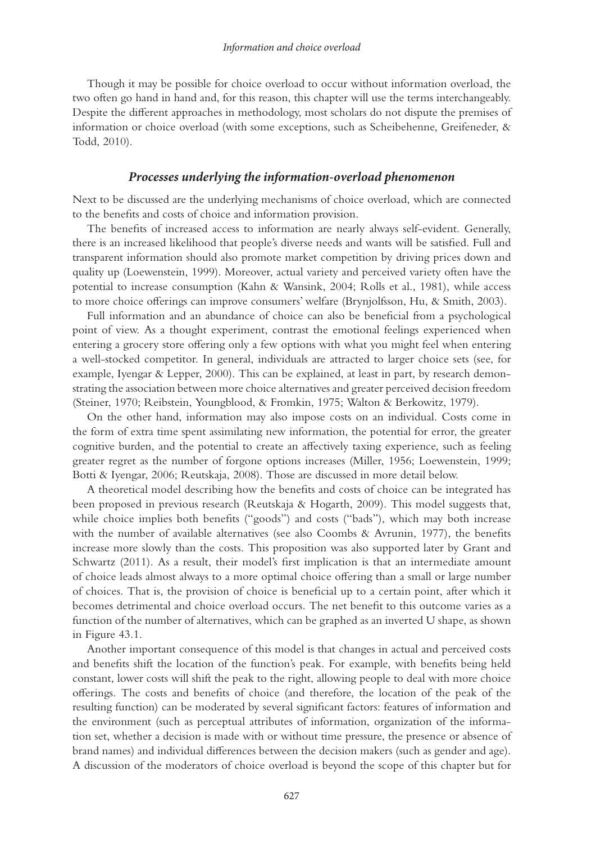Though it may be possible for choice overload to occur without information overload, the two often go hand in hand and, for this reason, this chapter will use the terms interchangeably. Despite the different approaches in methodology, most scholars do not dispute the premises of information or choice overload (with some exceptions, such as Scheibehenne, Greifeneder, & Todd, 2010).

### *Processes underlying the information-overload phenomenon*

Next to be discussed are the underlying mechanisms of choice overload, which are connected to the benefits and costs of choice and information provision.

The benefits of increased access to information are nearly always self-evident. Generally, there is an increased likelihood that people's diverse needs and wants will be satisfied. Full and transparent information should also promote market competition by driving prices down and quality up (Loewenstein, 1999). Moreover, actual variety and perceived variety often have the potential to increase consumption (Kahn & Wansink, 2004; Rolls et al., 1981), while access to more choice offerings can improve consumers' welfare (Brynjolfsson, Hu, & Smith, 2003).

Full information and an abundance of choice can also be beneficial from a psychological point of view. As a thought experiment, contrast the emotional feelings experienced when entering a grocery store offering only a few options with what you might feel when entering a well-stocked competitor. In general, individuals are attracted to larger choice sets (see, for example, Iyengar & Lepper, 2000). This can be explained, at least in part, by research demonstrating the association between more choice alternatives and greater perceived decision freedom (Steiner, 1970; Reibstein, Youngblood, & Fromkin, 1975; Walton & Berkowitz, 1979).

On the other hand, information may also impose costs on an individual. Costs come in the form of extra time spent assimilating new information, the potential for error, the greater cognitive burden, and the potential to create an affectively taxing experience, such as feeling greater regret as the number of forgone options increases (Miller, 1956; Loewenstein, 1999; Botti & Iyengar, 2006; Reutskaja, 2008). Those are discussed in more detail below.

A theoretical model describing how the benefits and costs of choice can be integrated has been proposed in previous research (Reutskaja & Hogarth, 2009). This model suggests that, while choice implies both benefits ("goods") and costs ("bads"), which may both increase with the number of available alternatives (see also Coombs & Avrunin, 1977), the benefits increase more slowly than the costs. This proposition was also supported later by Grant and Schwartz (2011). As a result, their model's first implication is that an intermediate amount of choice leads almost always to a more optimal choice offering than a small or large number of choices. That is, the provision of choice is beneficial up to a certain point, after which it becomes detrimental and choice overload occurs. The net benefit to this outcome varies as a function of the number of alternatives, which can be graphed as an inverted U shape, as shown in Figure 43.1.

Another important consequence of this model is that changes in actual and perceived costs and benefits shift the location of the function's peak. For example, with benefits being held constant, lower costs will shift the peak to the right, allowing people to deal with more choice offerings. The costs and benefits of choice (and therefore, the location of the peak of the resulting function) can be moderated by several significant factors: features of information and the environment (such as perceptual attributes of information, organization of the information set, whether a decision is made with or without time pressure, the presence or absence of brand names) and individual differences between the decision makers (such as gender and age). A discussion of the moderators of choice overload is beyond the scope of this chapter but for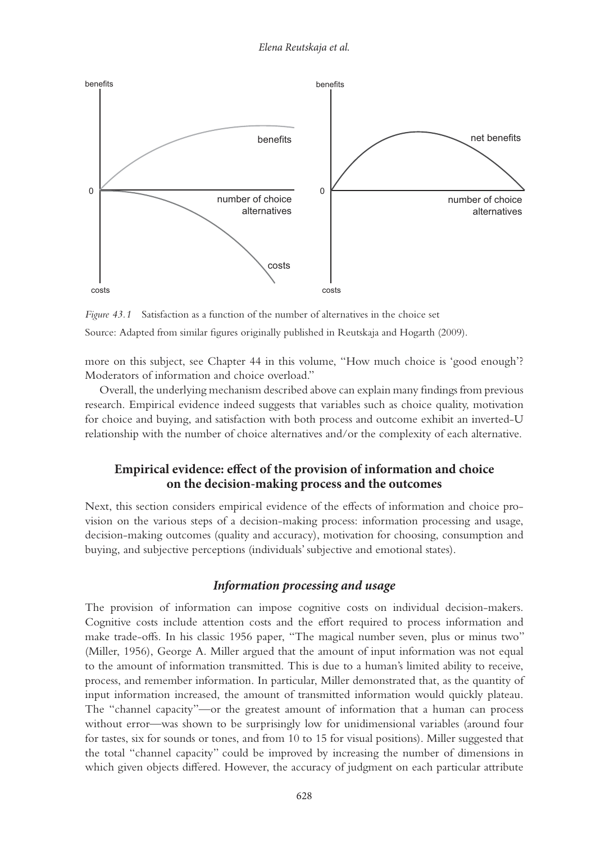

*Figure 43.1* Satisfaction as a function of the number of alternatives in the choice set Source: Adapted from similar figures originally published in Reutskaja and Hogarth (2009).

more on this subject, see Chapter 44 in this volume, "How much choice is 'good enough'? Moderators of information and choice overload."

Overall, the underlying mechanism described above can explain many findings from previous research. Empirical evidence indeed suggests that variables such as choice quality, motivation for choice and buying, and satisfaction with both process and outcome exhibit an inverted-U relationship with the number of choice alternatives and/or the complexity of each alternative.

# **Empirical evidence: effect of the provision of information and choice on the decision-making process and the outcomes**

Next, this section considers empirical evidence of the effects of information and choice provision on the various steps of a decision-making process: information processing and usage, decision-making outcomes (quality and accuracy), motivation for choosing, consumption and buying, and subjective perceptions (individuals' subjective and emotional states).

# *Information processing and usage*

The provision of information can impose cognitive costs on individual decision-makers. Cognitive costs include attention costs and the effort required to process information and make trade-offs. In his classic 1956 paper, "The magical number seven, plus or minus two" (Miller, 1956), George A. Miller argued that the amount of input information was not equal to the amount of information transmitted. This is due to a human's limited ability to receive, process, and remember information. In particular, Miller demonstrated that, as the quantity of input information increased, the amount of transmitted information would quickly plateau. The "channel capacity"—or the greatest amount of information that a human can process without error—was shown to be surprisingly low for unidimensional variables (around four for tastes, six for sounds or tones, and from 10 to 15 for visual positions). Miller suggested that the total "channel capacity" could be improved by increasing the number of dimensions in which given objects differed. However, the accuracy of judgment on each particular attribute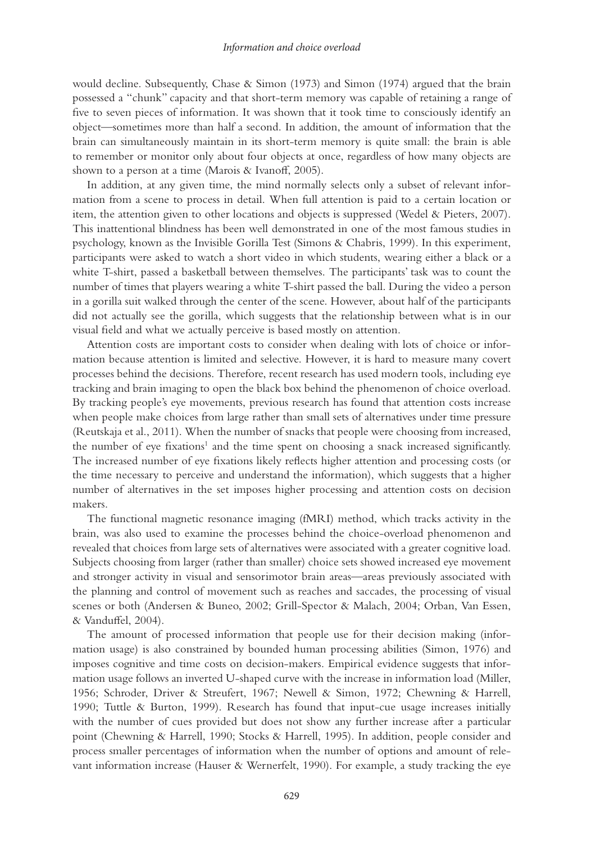would decline. Subsequently, Chase & Simon (1973) and Simon (1974) argued that the brain possessed a "chunk" capacity and that short-term memory was capable of retaining a range of five to seven pieces of information. It was shown that it took time to consciously identify an object—sometimes more than half a second. In addition, the amount of information that the brain can simultaneously maintain in its short-term memory is quite small: the brain is able to remember or monitor only about four objects at once, regardless of how many objects are shown to a person at a time (Marois & Ivanoff, 2005).

In addition, at any given time, the mind normally selects only a subset of relevant information from a scene to process in detail. When full attention is paid to a certain location or item, the attention given to other locations and objects is suppressed (Wedel & Pieters, 2007). This inattentional blindness has been well demonstrated in one of the most famous studies in psychology, known as the Invisible Gorilla Test (Simons & Chabris, 1999). In this experiment, participants were asked to watch a short video in which students, wearing either a black or a white T-shirt, passed a basketball between themselves. The participants' task was to count the number of times that players wearing a white T-shirt passed the ball. During the video a person in a gorilla suit walked through the center of the scene. However, about half of the participants did not actually see the gorilla, which suggests that the relationship between what is in our visual field and what we actually perceive is based mostly on attention.

Attention costs are important costs to consider when dealing with lots of choice or information because attention is limited and selective. However, it is hard to measure many covert processes behind the decisions. Therefore, recent research has used modern tools, including eye tracking and brain imaging to open the black box behind the phenomenon of choice overload. By tracking people's eye movements, previous research has found that attention costs increase when people make choices from large rather than small sets of alternatives under time pressure (Reutskaja et al., 2011). When the number of snacks that people were choosing from increased, the number of eye fixations<sup>1</sup> and the time spent on choosing a snack increased significantly. The increased number of eye fixations likely reflects higher attention and processing costs (or the time necessary to perceive and understand the information), which suggests that a higher number of alternatives in the set imposes higher processing and attention costs on decision makers.

The functional magnetic resonance imaging (fMRI) method, which tracks activity in the brain, was also used to examine the processes behind the choice-overload phenomenon and revealed that choices from large sets of alternatives were associated with a greater cognitive load. Subjects choosing from larger (rather than smaller) choice sets showed increased eye movement and stronger activity in visual and sensorimotor brain areas—areas previously associated with the planning and control of movement such as reaches and saccades, the processing of visual scenes or both (Andersen & Buneo, 2002; Grill-Spector & Malach, 2004; Orban, Van Essen, & Vanduffel, 2004).

The amount of processed information that people use for their decision making (information usage) is also constrained by bounded human processing abilities (Simon, 1976) and imposes cognitive and time costs on decision-makers. Empirical evidence suggests that information usage follows an inverted U-shaped curve with the increase in information load (Miller, 1956; Schroder, Driver & Streufert, 1967; Newell & Simon, 1972; Chewning & Harrell, 1990; Tuttle & Burton, 1999). Research has found that input-cue usage increases initially with the number of cues provided but does not show any further increase after a particular point (Chewning & Harrell, 1990; Stocks & Harrell, 1995). In addition, people consider and process smaller percentages of information when the number of options and amount of relevant information increase (Hauser & Wernerfelt, 1990). For example, a study tracking the eye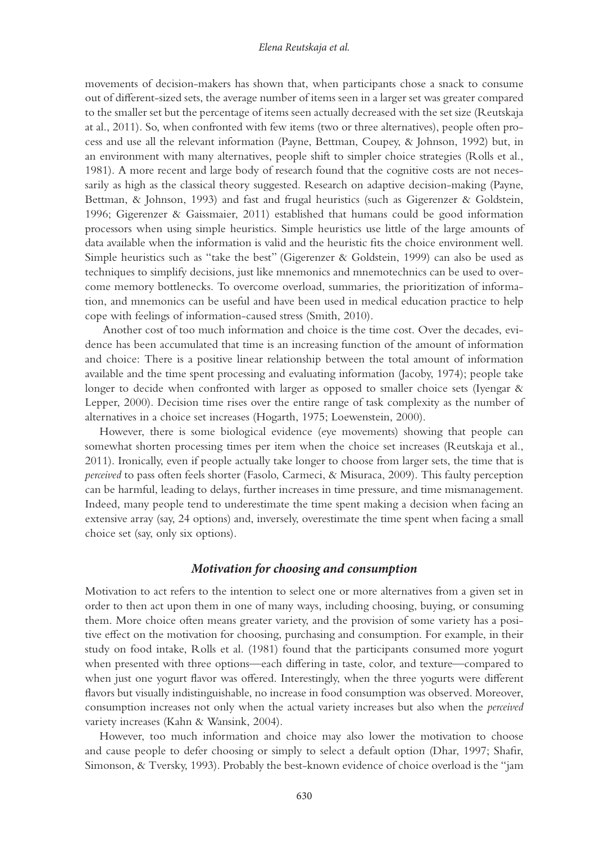#### *Elena Reutskaja et al.*

movements of decision-makers has shown that, when participants chose a snack to consume out of different-sized sets, the average number of items seen in a larger set was greater compared to the smaller set but the percentage of items seen actually decreased with the set size (Reutskaja at al., 2011). So, when confronted with few items (two or three alternatives), people often process and use all the relevant information (Payne, Bettman, Coupey, & Johnson, 1992) but, in an environment with many alternatives, people shift to simpler choice strategies (Rolls et al., 1981). A more recent and large body of research found that the cognitive costs are not necessarily as high as the classical theory suggested. Research on adaptive decision-making (Payne, Bettman, & Johnson, 1993) and fast and frugal heuristics (such as Gigerenzer & Goldstein, 1996; Gigerenzer & Gaissmaier, 2011) established that humans could be good information processors when using simple heuristics. Simple heuristics use little of the large amounts of data available when the information is valid and the heuristic fits the choice environment well. Simple heuristics such as "take the best" (Gigerenzer & Goldstein, 1999) can also be used as techniques to simplify decisions, just like mnemonics and mnemotechnics can be used to overcome memory bottlenecks. To overcome overload, summaries, the prioritization of information, and mnemonics can be useful and have been used in medical education practice to help cope with feelings of information-caused stress (Smith, 2010).

 Another cost of too much information and choice is the time cost. Over the decades, evidence has been accumulated that time is an increasing function of the amount of information and choice: There is a positive linear relationship between the total amount of information available and the time spent processing and evaluating information (Jacoby, 1974); people take longer to decide when confronted with larger as opposed to smaller choice sets (Iyengar & Lepper, 2000). Decision time rises over the entire range of task complexity as the number of alternatives in a choice set increases (Hogarth, 1975; Loewenstein, 2000).

However, there is some biological evidence (eye movements) showing that people can somewhat shorten processing times per item when the choice set increases (Reutskaja et al., 2011). Ironically, even if people actually take longer to choose from larger sets, the time that is *perceived* to pass often feels shorter (Fasolo, Carmeci, & Misuraca, 2009). This faulty perception can be harmful, leading to delays, further increases in time pressure, and time mismanagement. Indeed, many people tend to underestimate the time spent making a decision when facing an extensive array (say, 24 options) and, inversely, overestimate the time spent when facing a small choice set (say, only six options).

# *Motivation for choosing and consumption*

Motivation to act refers to the intention to select one or more alternatives from a given set in order to then act upon them in one of many ways, including choosing, buying, or consuming them. More choice often means greater variety, and the provision of some variety has a positive effect on the motivation for choosing, purchasing and consumption. For example, in their study on food intake, Rolls et al. (1981) found that the participants consumed more yogurt when presented with three options—each differing in taste, color, and texture—compared to when just one yogurt flavor was offered. Interestingly, when the three yogurts were different flavors but visually indistinguishable, no increase in food consumption was observed. Moreover, consumption increases not only when the actual variety increases but also when the *perceived* variety increases (Kahn & Wansink, 2004).

However, too much information and choice may also lower the motivation to choose and cause people to defer choosing or simply to select a default option (Dhar, 1997; Shafir, Simonson, & Tversky, 1993). Probably the best-known evidence of choice overload is the "jam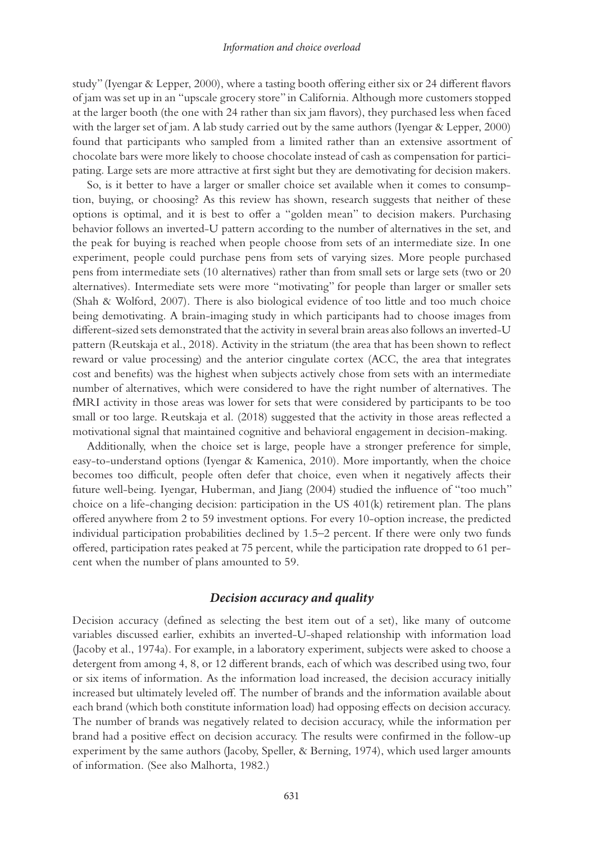#### *Information and choice overload*

study" (Iyengar & Lepper, 2000), where a tasting booth offering either six or 24 different flavors of jam was set up in an "upscale grocery store" in California. Although more customers stopped at the larger booth (the one with 24 rather than six jam flavors), they purchased less when faced with the larger set of jam. A lab study carried out by the same authors (Iyengar & Lepper, 2000) found that participants who sampled from a limited rather than an extensive assortment of chocolate bars were more likely to choose chocolate instead of cash as compensation for participating. Large sets are more attractive at first sight but they are demotivating for decision makers.

So, is it better to have a larger or smaller choice set available when it comes to consumption, buying, or choosing? As this review has shown, research suggests that neither of these options is optimal, and it is best to offer a "golden mean" to decision makers. Purchasing behavior follows an inverted-U pattern according to the number of alternatives in the set, and the peak for buying is reached when people choose from sets of an intermediate size. In one experiment, people could purchase pens from sets of varying sizes. More people purchased pens from intermediate sets (10 alternatives) rather than from small sets or large sets (two or 20 alternatives). Intermediate sets were more "motivating" for people than larger or smaller sets (Shah & Wolford, 2007). There is also biological evidence of too little and too much choice being demotivating. A brain-imaging study in which participants had to choose images from different-sized sets demonstrated that the activity in several brain areas also follows an inverted-U pattern (Reutskaja et al., 2018). Activity in the striatum (the area that has been shown to reflect reward or value processing) and the anterior cingulate cortex (ACC, the area that integrates cost and benefits) was the highest when subjects actively chose from sets with an intermediate number of alternatives, which were considered to have the right number of alternatives. The fMRI activity in those areas was lower for sets that were considered by participants to be too small or too large. Reutskaja et al. (2018) suggested that the activity in those areas reflected a motivational signal that maintained cognitive and behavioral engagement in decision-making.

Additionally, when the choice set is large, people have a stronger preference for simple, easy-to-understand options (Iyengar & Kamenica, 2010). More importantly, when the choice becomes too difficult, people often defer that choice, even when it negatively affects their future well-being. Iyengar, Huberman, and Jiang (2004) studied the influence of "too much" choice on a life-changing decision: participation in the US 401(k) retirement plan. The plans offered anywhere from 2 to 59 investment options. For every 10-option increase, the predicted individual participation probabilities declined by 1.5–2 percent. If there were only two funds offered, participation rates peaked at 75 percent, while the participation rate dropped to 61 percent when the number of plans amounted to 59.

# *Decision accuracy and quality*

Decision accuracy (defined as selecting the best item out of a set), like many of outcome variables discussed earlier, exhibits an inverted-U-shaped relationship with information load (Jacoby et al., 1974a). For example, in a laboratory experiment, subjects were asked to choose a detergent from among 4, 8, or 12 different brands, each of which was described using two, four or six items of information. As the information load increased, the decision accuracy initially increased but ultimately leveled off. The number of brands and the information available about each brand (which both constitute information load) had opposing effects on decision accuracy. The number of brands was negatively related to decision accuracy, while the information per brand had a positive effect on decision accuracy. The results were confirmed in the follow-up experiment by the same authors (Jacoby, Speller, & Berning, 1974), which used larger amounts of information. (See also Malhorta, 1982.)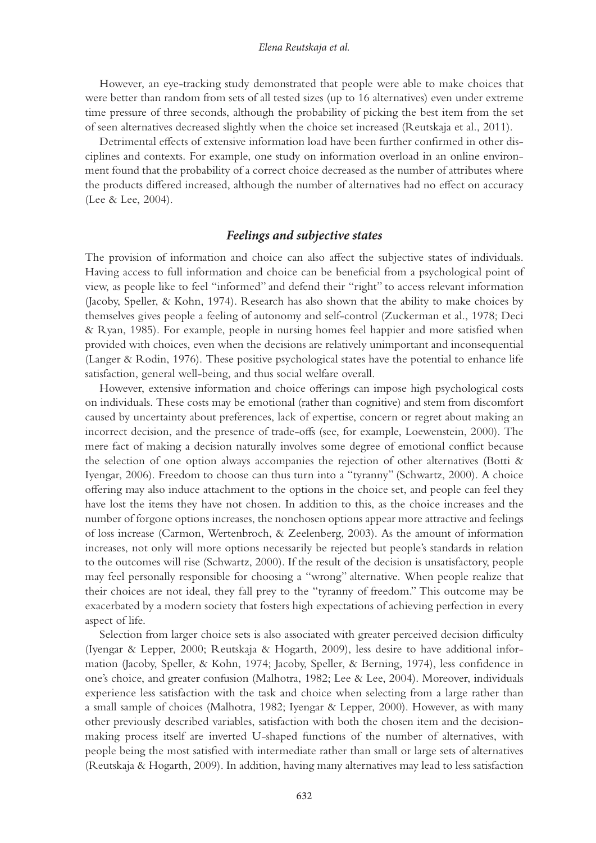#### *Elena Reutskaja et al.*

However, an eye-tracking study demonstrated that people were able to make choices that were better than random from sets of all tested sizes (up to 16 alternatives) even under extreme time pressure of three seconds, although the probability of picking the best item from the set of seen alternatives decreased slightly when the choice set increased (Reutskaja et al., 2011).

Detrimental effects of extensive information load have been further confirmed in other disciplines and contexts. For example, one study on information overload in an online environment found that the probability of a correct choice decreased as the number of attributes where the products differed increased, although the number of alternatives had no effect on accuracy (Lee & Lee, 2004).

# *Feelings and subjective states*

The provision of information and choice can also affect the subjective states of individuals. Having access to full information and choice can be beneficial from a psychological point of view, as people like to feel "informed" and defend their "right" to access relevant information (Jacoby, Speller, & Kohn, 1974). Research has also shown that the ability to make choices by themselves gives people a feeling of autonomy and self-control (Zuckerman et al., 1978; Deci & Ryan, 1985). For example, people in nursing homes feel happier and more satisfied when provided with choices, even when the decisions are relatively unimportant and inconsequential (Langer & Rodin, 1976). These positive psychological states have the potential to enhance life satisfaction, general well-being, and thus social welfare overall.

However, extensive information and choice offerings can impose high psychological costs on individuals. These costs may be emotional (rather than cognitive) and stem from discomfort caused by uncertainty about preferences, lack of expertise, concern or regret about making an incorrect decision, and the presence of trade-offs (see, for example, Loewenstein, 2000). The mere fact of making a decision naturally involves some degree of emotional conflict because the selection of one option always accompanies the rejection of other alternatives (Botti & Iyengar, 2006). Freedom to choose can thus turn into a "tyranny" (Schwartz, 2000). A choice offering may also induce attachment to the options in the choice set, and people can feel they have lost the items they have not chosen. In addition to this, as the choice increases and the number of forgone options increases, the nonchosen options appear more attractive and feelings of loss increase (Carmon, Wertenbroch, & Zeelenberg, 2003). As the amount of information increases, not only will more options necessarily be rejected but people's standards in relation to the outcomes will rise (Schwartz, 2000). If the result of the decision is unsatisfactory, people may feel personally responsible for choosing a "wrong" alternative. When people realize that their choices are not ideal, they fall prey to the "tyranny of freedom." This outcome may be exacerbated by a modern society that fosters high expectations of achieving perfection in every aspect of life.

Selection from larger choice sets is also associated with greater perceived decision difficulty (Iyengar & Lepper, 2000; Reutskaja & Hogarth, 2009), less desire to have additional information (Jacoby, Speller, & Kohn, 1974; Jacoby, Speller, & Berning, 1974), less confidence in one's choice, and greater confusion (Malhotra, 1982; Lee & Lee, 2004). Moreover, individuals experience less satisfaction with the task and choice when selecting from a large rather than a small sample of choices (Malhotra, 1982; Iyengar & Lepper, 2000). However, as with many other previously described variables, satisfaction with both the chosen item and the decisionmaking process itself are inverted U-shaped functions of the number of alternatives, with people being the most satisfied with intermediate rather than small or large sets of alternatives (Reutskaja & Hogarth, 2009). In addition, having many alternatives may lead to less satisfaction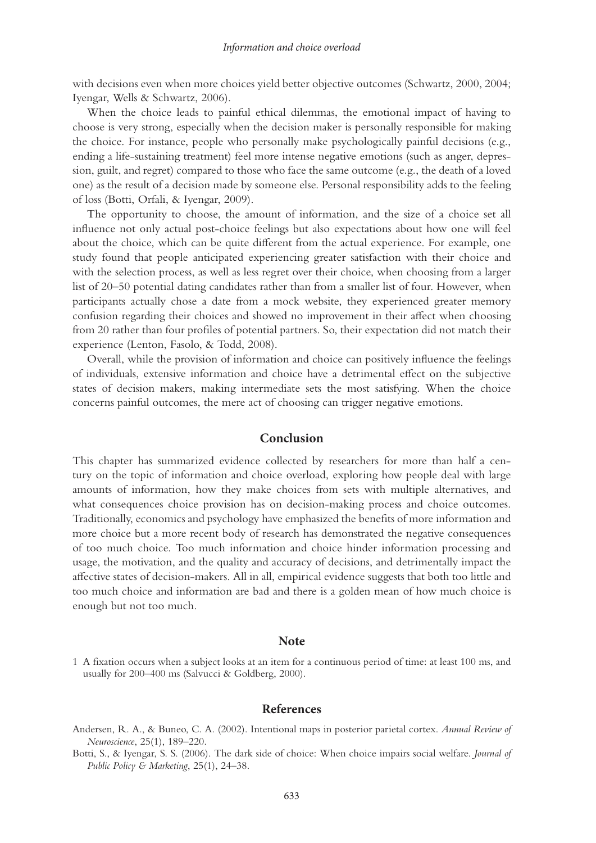with decisions even when more choices yield better objective outcomes (Schwartz, 2000, 2004; Iyengar, Wells & Schwartz, 2006).

When the choice leads to painful ethical dilemmas, the emotional impact of having to choose is very strong, especially when the decision maker is personally responsible for making the choice. For instance, people who personally make psychologically painful decisions (e.g., ending a life-sustaining treatment) feel more intense negative emotions (such as anger, depression, guilt, and regret) compared to those who face the same outcome (e.g., the death of a loved one) as the result of a decision made by someone else. Personal responsibility adds to the feeling of loss (Botti, Orfali, & Iyengar, 2009).

The opportunity to choose, the amount of information, and the size of a choice set all influence not only actual post-choice feelings but also expectations about how one will feel about the choice, which can be quite different from the actual experience. For example, one study found that people anticipated experiencing greater satisfaction with their choice and with the selection process, as well as less regret over their choice, when choosing from a larger list of 20–50 potential dating candidates rather than from a smaller list of four. However, when participants actually chose a date from a mock website, they experienced greater memory confusion regarding their choices and showed no improvement in their affect when choosing from 20 rather than four profiles of potential partners. So, their expectation did not match their experience (Lenton, Fasolo, & Todd, 2008).

Overall, while the provision of information and choice can positively influence the feelings of individuals, extensive information and choice have a detrimental effect on the subjective states of decision makers, making intermediate sets the most satisfying. When the choice concerns painful outcomes, the mere act of choosing can trigger negative emotions.

# **Conclusion**

This chapter has summarized evidence collected by researchers for more than half a century on the topic of information and choice overload, exploring how people deal with large amounts of information, how they make choices from sets with multiple alternatives, and what consequences choice provision has on decision-making process and choice outcomes. Traditionally, economics and psychology have emphasized the benefits of more information and more choice but a more recent body of research has demonstrated the negative consequences of too much choice. Too much information and choice hinder information processing and usage, the motivation, and the quality and accuracy of decisions, and detrimentally impact the affective states of decision-makers. All in all, empirical evidence suggests that both too little and too much choice and information are bad and there is a golden mean of how much choice is enough but not too much.

### **Note**

#### **References**

- Andersen, R. A., & Buneo, C. A. (2002). Intentional maps in posterior parietal cortex. *Annual Review of Neuroscience*, 25(1), 189–220.
- Botti, S., & Iyengar, S. S. (2006). The dark side of choice: When choice impairs social welfare. *Journal of Public Policy & Marketing*, 25(1), 24–38.

<sup>1</sup> A fixation occurs when a subject looks at an item for a continuous period of time: at least 100 ms, and usually for 200–400 ms (Salvucci & Goldberg, 2000).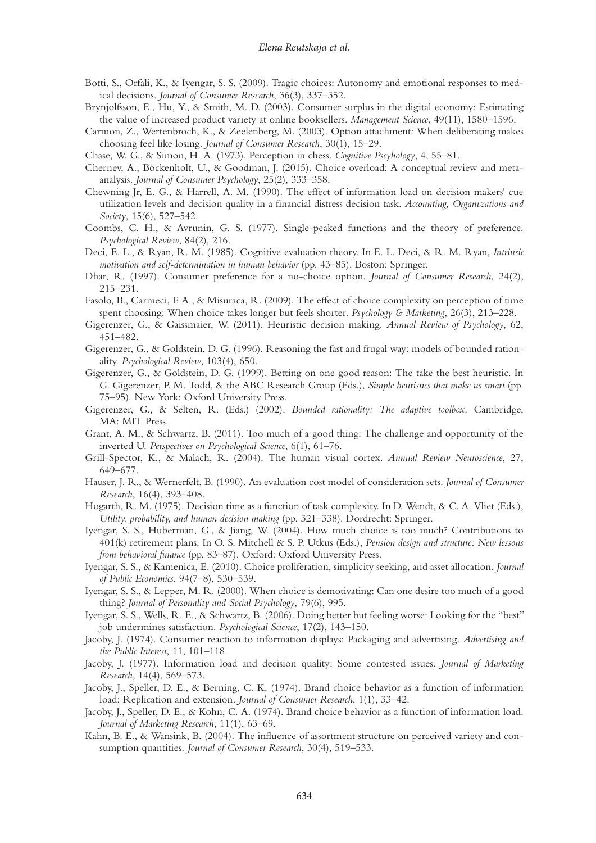- Botti, S., Orfali, K., & Iyengar, S. S. (2009). Tragic choices: Autonomy and emotional responses to medical decisions. *Journal of Consumer Research*, 36(3), 337–352.
- Brynjolfsson, E., Hu, Y., & Smith, M. D. (2003). Consumer surplus in the digital economy: Estimating the value of increased product variety at online booksellers. *Management Science*, 49(11), 1580–1596.
- Carmon, Z., Wertenbroch, K., & Zeelenberg, M. (2003). Option attachment: When deliberating makes choosing feel like losing. *Journal of Consumer Research*, 30(1), 15–29.
- Chase, W. G., & Simon, H. A. (1973). Perception in chess. *Cognitive Pscyhology*, 4, 55–81.
- Chernev, A., Böckenholt, U., & Goodman, J. (2015). Choice overload: A conceptual review and metaanalysis. *Journal of Consumer Psychology*, 25(2), 333–358.
- Chewning Jr, E. G., & Harrell, A. M. (1990). The effect of information load on decision makers' cue utilization levels and decision quality in a financial distress decision task. *Accounting, Organizations and Society*, 15(6), 527–542.
- Coombs, C. H., & Avrunin, G. S. (1977). Single-peaked functions and the theory of preference. *Psychological Review*, 84(2), 216.
- Deci, E. L., & Ryan, R. M. (1985). Cognitive evaluation theory. In E. L. Deci, & R. M. Ryan, *Intrinsic motivation and self-determination in human behavior* (pp. 43–85). Boston: Springer.
- Dhar, R. (1997). Consumer preference for a no-choice option. *Journal of Consumer Research*, 24(2), 215–231.
- Fasolo, B., Carmeci, F. A., & Misuraca, R. (2009). The effect of choice complexity on perception of time spent choosing: When choice takes longer but feels shorter. *Psychology & Marketing*, 26(3), 213–228.
- Gigerenzer, G., & Gaissmaier, W. (2011). Heuristic decision making. *Annual Review of Psychology*, 62, 451–482.
- Gigerenzer, G., & Goldstein, D. G. (1996). Reasoning the fast and frugal way: models of bounded rationality. *Psychological Review*, 103(4), 650.
- Gigerenzer, G., & Goldstein, D. G. (1999). Betting on one good reason: The take the best heuristic. In G. Gigerenzer, P. M. Todd, & the ABC Research Group (Eds.), *Simple heuristics that make us smart* (pp. 75–95). New York: Oxford University Press.
- Gigerenzer, G., & Selten, R. (Eds.) (2002). *Bounded rationality: The adaptive toolbox*. Cambridge, MA: MIT Press.
- Grant, A. M., & Schwartz, B. (2011). Too much of a good thing: The challenge and opportunity of the inverted U. *Perspectives on Psychological Science*, 6(1), 61–76.
- Grill-Spector, K., & Malach, R. (2004). The human visual cortex. *Annual Review Neuroscience*, 27, 649–677.
- Hauser, J. R., & Wernerfelt, B. (1990). An evaluation cost model of consideration sets. *Journal of Consumer Research*, 16(4), 393–408.
- Hogarth, R. M. (1975). Decision time as a function of task complexity. In D. Wendt, & C. A. Vliet (Eds.), *Utility, probability, and human decision making* (pp. 321–338). Dordrecht: Springer.
- Iyengar, S. S., Huberman, G., & Jiang, W. (2004). How much choice is too much? Contributions to 401(k) retirement plans. In O. S. Mitchell & S. P. Utkus (Eds.), *Pension design and structure: New lessons from behavioral finance* (pp. 83–87). Oxford: Oxford University Press.
- Iyengar, S. S., & Kamenica, E. (2010). Choice proliferation, simplicity seeking, and asset allocation. *Journal of Public Economics*, 94(7–8), 530–539.
- Iyengar, S. S., & Lepper, M. R. (2000). When choice is demotivating: Can one desire too much of a good thing? *Journal of Personality and Social Psychology*, 79(6), 995.
- Iyengar, S. S., Wells, R. E., & Schwartz, B. (2006). Doing better but feeling worse: Looking for the "best" job undermines satisfaction. *Psychological Science*, 17(2), 143–150.
- Jacoby, J. (1974). Consumer reaction to information displays: Packaging and advertising. *Advertising and the Public Interest*, 11, 101–118.
- Jacoby, J. (1977). Information load and decision quality: Some contested issues. *Journal of Marketing Research*, 14(4), 569–573.
- Jacoby, J., Speller, D. E., & Berning, C. K. (1974). Brand choice behavior as a function of information load: Replication and extension. *Journal of Consumer Research*, 1(1), 33–42.
- Jacoby, J., Speller, D. E., & Kohn, C. A. (1974). Brand choice behavior as a function of information load. *Journal of Marketing Research*, 11(1), 63–69.
- Kahn, B. E., & Wansink, B. (2004). The influence of assortment structure on perceived variety and consumption quantities. *Journal of Consumer Research*, 30(4), 519–533.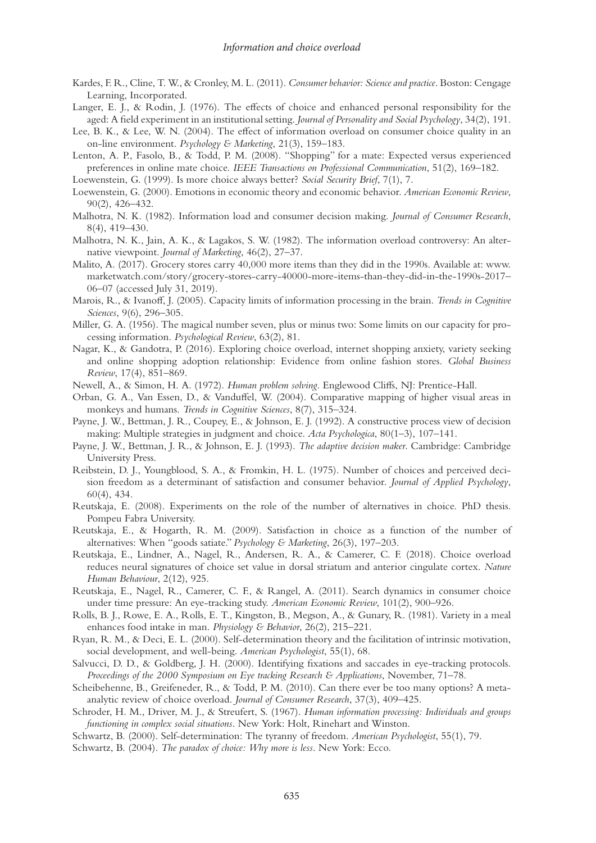- Kardes, F. R., Cline, T. W., & Cronley, M. L. (2011). *Consumer behavior: Science and practice*. Boston: Cengage Learning, Incorporated.
- Langer, E. J., & Rodin, J. (1976). The effects of choice and enhanced personal responsibility for the aged: A field experiment in an institutional setting. *Journal of Personality and Social Psychology*, 34(2), 191.
- Lee, B. K., & Lee, W. N. (2004). The effect of information overload on consumer choice quality in an on-line environment. *Psychology & Marketing*, 21(3), 159–183.
- Lenton, A. P., Fasolo, B., & Todd, P. M. (2008). "Shopping" for a mate: Expected versus experienced preferences in online mate choice. *IEEE Transactions on Professional Communication*, 51(2), 169–182.
- Loewenstein, G. (1999). Is more choice always better? *Social Security Brief*, 7(1), 7.
- Loewenstein, G. (2000). Emotions in economic theory and economic behavior. *American Economic Review*, 90(2), 426–432.
- Malhotra, N. K. (1982). Information load and consumer decision making. *Journal of Consumer Research*, 8(4), 419–430.
- Malhotra, N. K., Jain, A. K., & Lagakos, S. W. (1982). The information overload controversy: An alternative viewpoint. *Journal of Marketing*, 46(2), 27–37.
- Malito, A. (2017). Grocery stores carry 40,000 more items than they did in the 1990s. Available at: www. marketwatch.com/story/grocery-stores-carry-40000-more-items-than-they-did-in-the-1990s-2017– 06–07 (accessed July 31, 2019).
- Marois, R., & Ivanoff, J. (2005). Capacity limits of information processing in the brain. *Trends in Cognitive Sciences*, 9(6), 296–305.
- Miller, G. A. (1956). The magical number seven, plus or minus two: Some limits on our capacity for processing information. *Psychological Review*, 63(2), 81.
- Nagar, K., & Gandotra, P. (2016). Exploring choice overload, internet shopping anxiety, variety seeking and online shopping adoption relationship: Evidence from online fashion stores. *Global Business Review*, 17(4), 851–869.
- Newell, A., & Simon, H. A. (1972). *Human problem solving*. Englewood Cliffs, NJ: Prentice-Hall.
- Orban, G. A., Van Essen, D., & Vanduffel, W. (2004). Comparative mapping of higher visual areas in monkeys and humans. *Trends in Cognitive Sciences*, 8(7), 315–324.
- Payne, J. W., Bettman, J. R., Coupey, E., & Johnson, E. J. (1992). A constructive process view of decision making: Multiple strategies in judgment and choice. *Acta Psychologica*, 80(1–3), 107–141.
- Payne, J. W., Bettman, J. R., & Johnson, E. J. (1993). *The adaptive decision maker*. Cambridge: Cambridge University Press.
- Reibstein, D. J., Youngblood, S. A., & Fromkin, H. L. (1975). Number of choices and perceived decision freedom as a determinant of satisfaction and consumer behavior. *Journal of Applied Psychology*, 60(4), 434.
- Reutskaja, E. (2008). Experiments on the role of the number of alternatives in choice. PhD thesis. Pompeu Fabra University.
- Reutskaja, E., & Hogarth, R. M. (2009). Satisfaction in choice as a function of the number of alternatives: When "goods satiate." *Psychology & Marketing*, 26(3), 197–203.
- Reutskaja, E., Lindner, A., Nagel, R., Andersen, R. A., & Camerer, C. F. (2018). Choice overload reduces neural signatures of choice set value in dorsal striatum and anterior cingulate cortex. *Nature Human Behaviour*, 2(12), 925.
- Reutskaja, E., Nagel, R., Camerer, C. F., & Rangel, A. (2011). Search dynamics in consumer choice under time pressure: An eye-tracking study. *American Economic Review*, 101(2), 900–926.
- Rolls, B. J., Rowe, E. A., Rolls, E. T., Kingston, B., Megson, A., & Gunary, R. (1981). Variety in a meal enhances food intake in man. *Physiology & Behavior*, 26(2), 215–221.
- Ryan, R. M., & Deci, E. L. (2000). Self-determination theory and the facilitation of intrinsic motivation, social development, and well-being. *American Psychologist*, 55(1), 68.
- Salvucci, D. D., & Goldberg, J. H. (2000). Identifying fixations and saccades in eye-tracking protocols. *Proceedings of the 2000 Symposium on Eye tracking Research & Applications*, November, 71–78.
- Scheibehenne, B., Greifeneder, R., & Todd, P. M. (2010). Can there ever be too many options? A metaanalytic review of choice overload. *Journal of Consumer Research*, 37(3), 409–425.
- Schroder, H. M., Driver, M. J., & Streufert, S. (1967). *Human information processing: Individuals and groups functioning in complex social situations*. New York: Holt, Rinehart and Winston.
- Schwartz, B. (2000). Self-determination: The tyranny of freedom. *American Psychologist*, 55(1), 79.
- Schwartz, B. (2004). *The paradox of choice: Why more is less*. New York: Ecco.